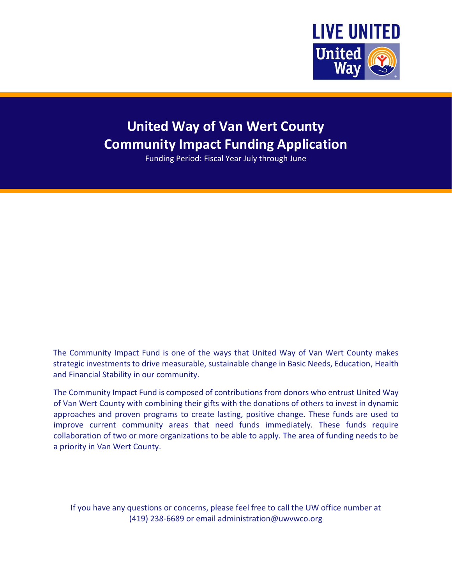

# **United Way of Van Wert County Community Impact Funding Application**

Funding Period: Fiscal Year July through June

The Community Impact Fund is one of the ways that United Way of Van Wert County makes strategic investments to drive measurable, sustainable change in Basic Needs, Education, Health and Financial Stability in our community.

The Community Impact Fund is composed of contributions from donors who entrust United Way of Van Wert County with combining their gifts with the donations of others to invest in dynamic approaches and proven programs to create lasting, positive change. These funds are used to improve current community areas that need funds immediately. These funds require collaboration of two or more organizations to be able to apply. The area of funding needs to be a priority in Van Wert County.

If you have any questions or concerns, please feel free to call the UW office number at (419) 238-6689 or email administration@uwvwco.org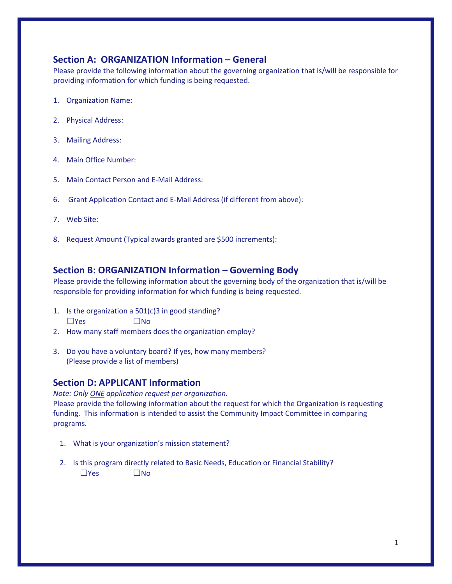## **Section A: ORGANIZATION Information – General**

Please provide the following information about the governing organization that is/will be responsible for providing information for which funding is being requested.

- 1. Organization Name:
- 2. Physical Address:
- 3. Mailing Address:
- 4. Main Office Number:
- 5. Main Contact Person and E-Mail Address:
- 6. Grant Application Contact and E-Mail Address (if different from above):
- 7. Web Site:
- 8. Request Amount (Typical awards granted are \$500 increments):

### **Section B: ORGANIZATION Information – Governing Body**

Please provide the following information about the governing body of the organization that is/will be responsible for providing information for which funding is being requested.

- 1. Is the organization a 501(c)3 in good standing?  $\square$ Yes  $\square$ No
- 2. How many staff members does the organization employ?
- 3. Do you have a voluntary board? If yes, how many members? (Please provide a list of members)

#### **Section D: APPLICANT Information**

*Note: Only ONE application request per organization.* Please provide the following information about the request for which the Organization is requesting funding. This information is intended to assist the Community Impact Committee in comparing programs.

- 1. What is your organization's mission statement?
- 2. Is this program directly related to Basic Needs, Education or Financial Stability?  $\n  $\blacksquare$ Yes  $\n  $\blacksquare$ No$$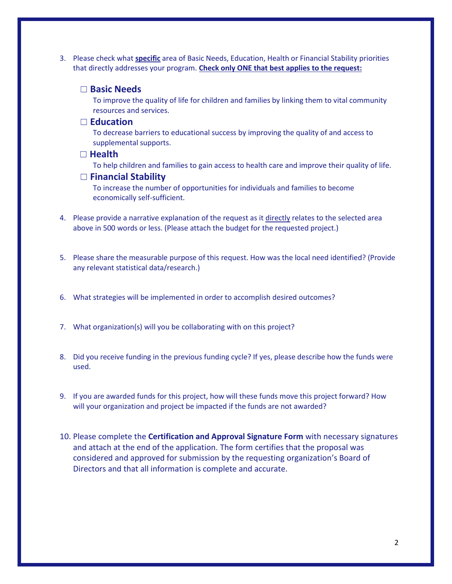3. Please check what **specific** area of Basic Needs, Education, Health or Financial Stability priorities that directly addresses your program. **Check only ONE that best applies to the request:**

#### ☐ **Basic Needs**

To improve the quality of life for children and families by linking them to vital community resources and services.

#### ☐ **Education**

To decrease barriers to educational success by improving the quality of and access to supplemental supports.

#### ☐ **Health**

To help children and families to gain access to health care and improve their quality of life.

#### ☐ **Financial Stability**

To increase the number of opportunities for individuals and families to become economically self-sufficient.

- 4. Please provide a narrative explanation of the request as it directly relates to the selected area above in 500 words or less. (Please attach the budget for the requested project.)
- 5. Please share the measurable purpose of this request. How was the local need identified? (Provide any relevant statistical data/research.)
- 6. What strategies will be implemented in order to accomplish desired outcomes?
- 7. What organization(s) will you be collaborating with on this project?
- 8. Did you receive funding in the previous funding cycle? If yes, please describe how the funds were used.
- 9. If you are awarded funds for this project, how will these funds move this project forward? How will your organization and project be impacted if the funds are not awarded?
- 10. Please complete the **Certification and Approval Signature Form** with necessary signatures and attach at the end of the application. The form certifies that the proposal was considered and approved for submission by the requesting organization's Board of Directors and that all information is complete and accurate.